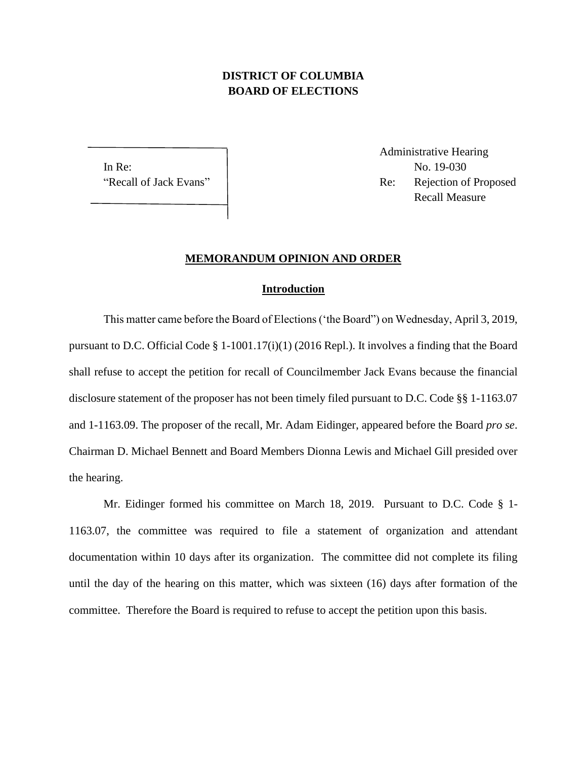## **DISTRICT OF COLUMBIA BOARD OF ELECTIONS**

In Re: No. 19-030

Administrative Hearing "Recall of Jack Evans" | Re: Rejection of Proposed Recall Measure

## **MEMORANDUM OPINION AND ORDER**

## **Introduction**

This matter came before the Board of Elections ('the Board") on Wednesday, April 3, 2019, pursuant to D.C. Official Code § 1-1001.17(i)(1) (2016 Repl.). It involves a finding that the Board shall refuse to accept the petition for recall of Councilmember Jack Evans because the financial disclosure statement of the proposer has not been timely filed pursuant to D.C. Code §§ 1-1163.07 and 1-1163.09. The proposer of the recall, Mr. Adam Eidinger, appeared before the Board *pro se*. Chairman D. Michael Bennett and Board Members Dionna Lewis and Michael Gill presided over the hearing.

Mr. Eidinger formed his committee on March 18, 2019. Pursuant to D.C. Code § 1- 1163.07, the committee was required to file a statement of organization and attendant documentation within 10 days after its organization. The committee did not complete its filing until the day of the hearing on this matter, which was sixteen (16) days after formation of the committee. Therefore the Board is required to refuse to accept the petition upon this basis.